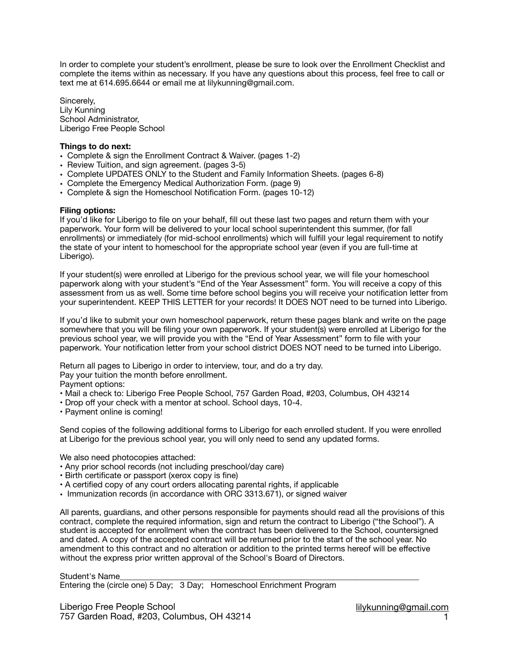In order to complete your student's enrollment, please be sure to look over the Enrollment Checklist and complete the items within as necessary. If you have any questions about this process, feel free to call or text me at 614.695.6644 or email me at lilykunning@gmail.com.

Sincerely, Lily Kunning School Administrator, Liberigo Free People School

## **Things to do next:**

- Complete & sign the Enrollment Contract & Waiver. (pages 1-2)
- Review Tuition, and sign agreement. (pages 3-5)
- Complete UPDATES ONLY to the Student and Family Information Sheets. (pages 6-8)
- Complete the Emergency Medical Authorization Form. (page 9)
- Complete & sign the Homeschool Notification Form. (pages 10-12)

## **Filing options:**

If you'd like for Liberigo to file on your behalf, fill out these last two pages and return them with your paperwork. Your form will be delivered to your local school superintendent this summer, (for fall enrollments) or immediately (for mid-school enrollments) which will fulfill your legal requirement to notify the state of your intent to homeschool for the appropriate school year (even if you are full-time at Liberigo).

If your student(s) were enrolled at Liberigo for the previous school year, we will file your homeschool paperwork along with your student's "End of the Year Assessment" form. You will receive a copy of this assessment from us as well. Some time before school begins you will receive your notification letter from your superintendent. KEEP THIS LETTER for your records! It DOES NOT need to be turned into Liberigo.

If you'd like to submit your own homeschool paperwork, return these pages blank and write on the page somewhere that you will be filing your own paperwork. If your student(s) were enrolled at Liberigo for the previous school year, we will provide you with the "End of Year Assessment" form to file with your paperwork. Your notification letter from your school district DOES NOT need to be turned into Liberigo.

Return all pages to Liberigo in order to interview, tour, and do a try day.

Pay your tuition the month before enrollment.

- Payment options:
- Mail a check to: Liberigo Free People School, 757 Garden Road, #203, Columbus, OH 43214
- Drop off your check with a mentor at school. School days, 10-4.
- Payment online is coming!

Send copies of the following additional forms to Liberigo for each enrolled student. If you were enrolled at Liberigo for the previous school year, you will only need to send any updated forms.

We also need photocopies attached:

- Any prior school records (not including preschool/day care)
- Birth certificate or passport (xerox copy is fine)
- A certified copy of any court orders allocating parental rights, if applicable
- Immunization records (in accordance with ORC 3313.671), or signed waiver

All parents, guardians, and other persons responsible for payments should read all the provisions of this contract, complete the required information, sign and return the contract to Liberigo ("the School"). A student is accepted for enrollment when the contract has been delivered to the School, countersigned and dated. A copy of the accepted contract will be returned prior to the start of the school year. No amendment to this contract and no alteration or addition to the printed terms hereof will be effective without the express prior written approval of the School's Board of Directors.

## Student's Name

Entering the (circle one) 5 Day; 3 Day; Homeschool Enrichment Program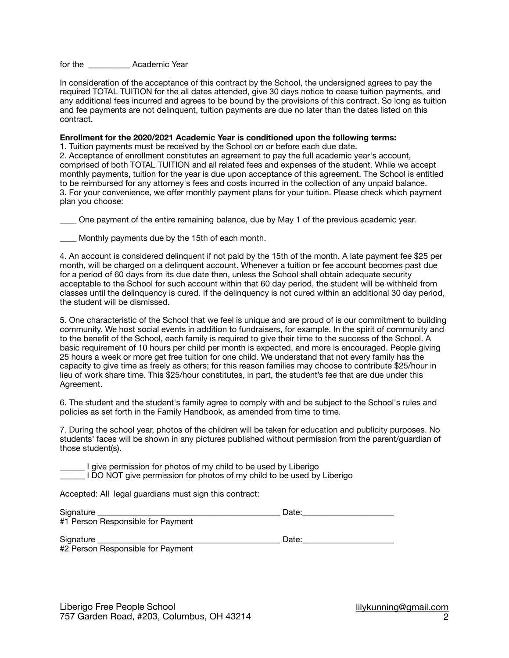for the **Academic Year** 

In consideration of the acceptance of this contract by the School, the undersigned agrees to pay the required TOTAL TUITION for the all dates attended, give 30 days notice to cease tuition payments, and any additional fees incurred and agrees to be bound by the provisions of this contract. So long as tuition and fee payments are not delinquent, tuition payments are due no later than the dates listed on this contract.

**Enrollment for the 2020/2021 Academic Year is conditioned upon the following terms:** 

1. Tuition payments must be received by the School on or before each due date.

2. Acceptance of enrollment constitutes an agreement to pay the full academic year's account, comprised of both TOTAL TUITION and all related fees and expenses of the student. While we accept monthly payments, tuition for the year is due upon acceptance of this agreement. The School is entitled to be reimbursed for any attorney's fees and costs incurred in the collection of any unpaid balance. 3. For your convenience, we offer monthly payment plans for your tuition. Please check which payment plan you choose:

\_\_\_\_ One payment of the entire remaining balance, due by May 1 of the previous academic year.

Monthly payments due by the 15th of each month.

4. An account is considered delinquent if not paid by the 15th of the month. A late payment fee \$25 per month, will be charged on a delinquent account. Whenever a tuition or fee account becomes past due for a period of 60 days from its due date then, unless the School shall obtain adequate security acceptable to the School for such account within that 60 day period, the student will be withheld from classes until the delinquency is cured. If the delinquency is not cured within an additional 30 day period, the student will be dismissed.

5. One characteristic of the School that we feel is unique and are proud of is our commitment to building community. We host social events in addition to fundraisers, for example. In the spirit of community and to the benefit of the School, each family is required to give their time to the success of the School. A basic requirement of 10 hours per child per month is expected, and more is encouraged. People giving 25 hours a week or more get free tuition for one child. We understand that not every family has the capacity to give time as freely as others; for this reason families may choose to contribute \$25/hour in lieu of work share time. This \$25/hour constitutes, in part, the student's fee that are due under this Agreement.

6. The student and the student's family agree to comply with and be subject to the School's rules and policies as set forth in the Family Handbook, as amended from time to time.

7. During the school year, photos of the children will be taken for education and publicity purposes. No students' faces will be shown in any pictures published without permission from the parent/guardian of those student(s).

I give permission for photos of my child to be used by Liberigo I DO NOT give permission for photos of my child to be used by Liberigo

Accepted: All legal guardians must sign this contract:

| Signature                         | Date: |
|-----------------------------------|-------|
| #1 Person Responsible for Payment |       |
|                                   |       |
| Signature                         | Date: |
| $\cdots$ $\sim$<br>.              |       |

#2 Person Responsible for Payment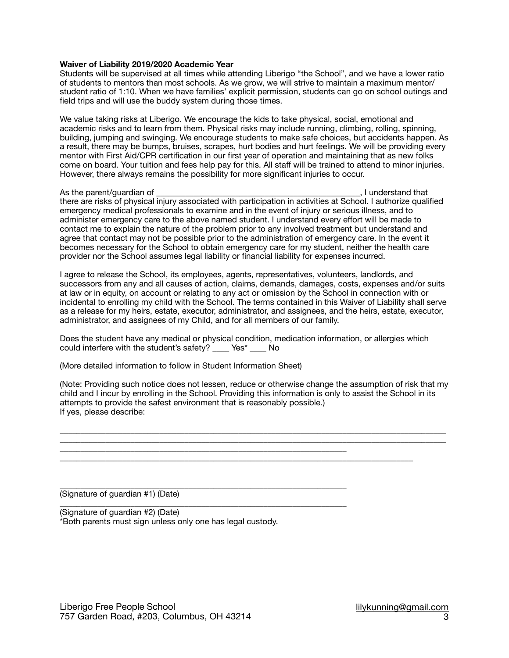#### **Waiver of Liability 2019/2020 Academic Year**

Students will be supervised at all times while attending Liberigo "the School", and we have a lower ratio of students to mentors than most schools. As we grow, we will strive to maintain a maximum mentor/ student ratio of 1:10. When we have families' explicit permission, students can go on school outings and field trips and will use the buddy system during those times.

We value taking risks at Liberigo. We encourage the kids to take physical, social, emotional and academic risks and to learn from them. Physical risks may include running, climbing, rolling, spinning, building, jumping and swinging. We encourage students to make safe choices, but accidents happen. As a result, there may be bumps, bruises, scrapes, hurt bodies and hurt feelings. We will be providing every mentor with First Aid/CPR certification in our first year of operation and maintaining that as new folks come on board. Your tuition and fees help pay for this. All staff will be trained to attend to minor injuries. However, there always remains the possibility for more significant injuries to occur.

As the parent/guardian of  $\blacksquare$ there are risks of physical injury associated with participation in activities at School. I authorize qualified emergency medical professionals to examine and in the event of injury or serious illness, and to administer emergency care to the above named student. I understand every effort will be made to contact me to explain the nature of the problem prior to any involved treatment but understand and agree that contact may not be possible prior to the administration of emergency care. In the event it becomes necessary for the School to obtain emergency care for my student, neither the health care provider nor the School assumes legal liability or financial liability for expenses incurred.

I agree to release the School, its employees, agents, representatives, volunteers, landlords, and successors from any and all causes of action, claims, demands, damages, costs, expenses and/or suits at law or in equity, on account or relating to any act or omission by the School in connection with or incidental to enrolling my child with the School. The terms contained in this Waiver of Liability shall serve as a release for my heirs, estate, executor, administrator, and assignees, and the heirs, estate, executor, administrator, and assignees of my Child, and for all members of our family.

Does the student have any medical or physical condition, medication information, or allergies which could interfere with the student's safety? \_\_\_\_ Yes\* \_\_\_\_ No

(More detailed information to follow in Student Information Sheet)

\_\_\_\_\_\_\_\_\_\_\_\_\_\_\_\_\_\_\_\_\_\_\_\_\_\_\_\_\_\_\_\_\_\_\_\_\_\_\_\_\_\_\_\_\_\_\_\_\_\_\_\_\_\_\_\_\_\_\_\_\_\_\_\_\_\_\_\_\_

\_\_\_\_\_\_\_\_\_\_\_\_\_\_\_\_\_\_\_\_\_\_\_\_\_\_\_\_\_\_\_\_\_\_\_\_\_\_\_\_\_\_\_\_\_\_\_\_\_\_\_\_\_\_\_\_\_\_\_\_\_\_\_\_\_\_\_\_\_

(Note: Providing such notice does not lessen, reduce or otherwise change the assumption of risk that my child and I incur by enrolling in the School. Providing this information is only to assist the School in its attempts to provide the safest environment that is reasonably possible.) If yes, please describe:

 $\_$  ,  $\_$  ,  $\_$  ,  $\_$  ,  $\_$  ,  $\_$  ,  $\_$  ,  $\_$  ,  $\_$  ,  $\_$  ,  $\_$  ,  $\_$  ,  $\_$  ,  $\_$  ,  $\_$  ,  $\_$  ,  $\_$  ,  $\_$  ,  $\_$  ,  $\_$  ,  $\_$  ,  $\_$  ,  $\_$  ,  $\_$  ,  $\_$  ,  $\_$  ,  $\_$  ,  $\_$  ,  $\_$  ,  $\_$  ,  $\_$  ,  $\_$  ,  $\_$  ,  $\_$  ,  $\_$  ,  $\_$  ,  $\_$  , \_\_\_\_\_\_\_\_\_\_\_\_\_\_\_\_\_\_\_\_\_\_\_\_\_\_\_\_\_\_\_\_\_\_\_\_\_\_\_\_\_\_\_\_\_\_\_\_\_\_\_\_\_\_\_\_\_\_\_\_\_\_\_\_\_\_\_\_\_\_\_\_\_\_\_\_\_\_\_\_\_\_\_\_\_\_\_\_\_\_\_\_\_

 $\_$  , and the set of the set of the set of the set of the set of the set of the set of the set of the set of the set of the set of the set of the set of the set of the set of the set of the set of the set of the set of th

\_\_\_\_\_\_\_\_\_\_\_\_\_\_\_\_\_\_\_\_\_\_\_\_\_\_\_\_\_\_\_\_\_\_\_\_\_\_\_\_\_\_\_\_\_\_\_\_\_\_\_\_\_\_\_\_\_\_\_\_\_\_\_\_\_\_\_\_\_ (Signature of guardian #1) (Date)

(Signature of guardian #2) (Date) \*Both parents must sign unless only one has legal custody.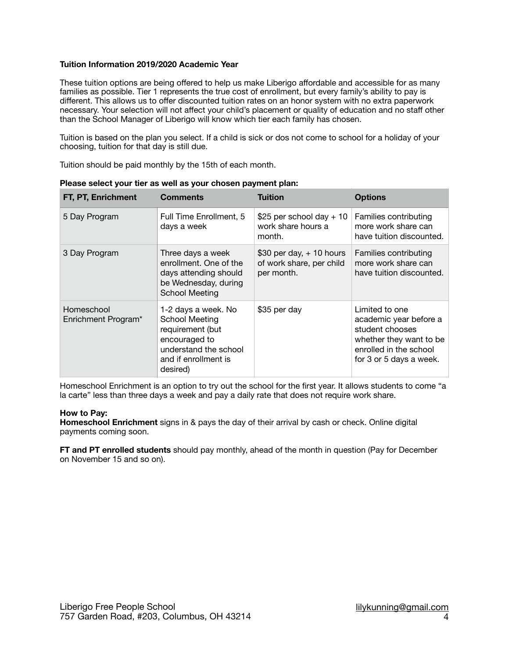## **Tuition Information 2019/2020 Academic Year**

These tuition options are being offered to help us make Liberigo affordable and accessible for as many families as possible. Tier 1 represents the true cost of enrollment, but every family's ability to pay is different. This allows us to offer discounted tuition rates on an honor system with no extra paperwork necessary. Your selection will not affect your child's placement or quality of education and no staff other than the School Manager of Liberigo will know which tier each family has chosen.

Tuition is based on the plan you select. If a child is sick or dos not come to school for a holiday of your choosing, tuition for that day is still due.

Tuition should be paid monthly by the 15th of each month.

| FT, PT, Enrichment                | <b>Comments</b>                                                                                                                                | <b>Tuition</b>                                                       | <b>Options</b>                                                                                                                              |
|-----------------------------------|------------------------------------------------------------------------------------------------------------------------------------------------|----------------------------------------------------------------------|---------------------------------------------------------------------------------------------------------------------------------------------|
| 5 Day Program                     | Full Time Enrollment, 5<br>days a week                                                                                                         | \$25 per school day $+10$<br>work share hours a<br>month.            | Families contributing<br>more work share can<br>have tuition discounted.                                                                    |
| 3 Day Program                     | Three days a week<br>enrollment. One of the<br>days attending should<br>be Wednesday, during<br><b>School Meeting</b>                          | $$30$ per day, $+10$ hours<br>of work share, per child<br>per month. | Families contributing<br>more work share can<br>have tuition discounted.                                                                    |
| Homeschool<br>Enrichment Program* | 1-2 days a week. No<br><b>School Meeting</b><br>requirement (but<br>encouraged to<br>understand the school<br>and if enrollment is<br>desired) | \$35 per day                                                         | Limited to one<br>academic year before a<br>student chooses<br>whether they want to be<br>enrolled in the school<br>for 3 or 5 days a week. |

**Please select your tier as well as your chosen payment plan:**

Homeschool Enrichment is an option to try out the school for the first year. It allows students to come "a la carte" less than three days a week and pay a daily rate that does not require work share.

## **How to Pay:**

**Homeschool Enrichment** signs in & pays the day of their arrival by cash or check. Online digital payments coming soon.

**FT and PT enrolled students** should pay monthly, ahead of the month in question (Pay for December on November 15 and so on).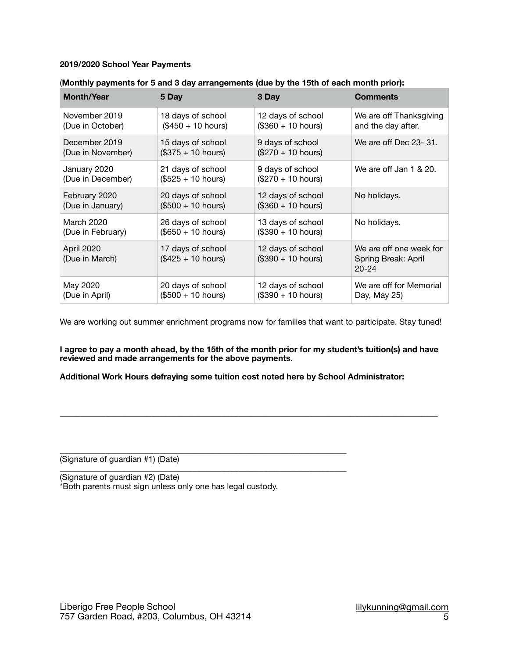## **2019/2020 School Year Payments**

| <b>Month/Year</b>            | 5 Day                                    | 3 Day                                    | <b>Comments</b>                                             |
|------------------------------|------------------------------------------|------------------------------------------|-------------------------------------------------------------|
| November 2019                | 18 days of school                        | 12 days of school                        | We are off Thanksgiving                                     |
| (Due in October)             | $($450 + 10 hours)$                      | $($360 + 10 hours)$                      | and the day after.                                          |
| December 2019                | 15 days of school                        | 9 days of school                         | We are off Dec 23-31.                                       |
| (Due in November)            | $($375 + 10 hours)$                      | $($270 + 10 hours)$                      |                                                             |
| January 2020                 | 21 days of school                        | 9 days of school                         | We are off Jan 1 & 20.                                      |
| (Due in December)            | $($525 + 10 hours)$                      | $($270 + 10 hours)$                      |                                                             |
| February 2020                | 20 days of school                        | 12 days of school                        | No holidays.                                                |
| (Due in January)             | $($500 + 10 hours)$                      | $($360 + 10 hours)$                      |                                                             |
| March 2020                   | 26 days of school                        | 13 days of school                        | No holidays.                                                |
| (Due in February)            | $($650 + 10 hours)$                      | $($390 + 10 hours)$                      |                                                             |
| April 2020<br>(Due in March) | 17 days of school<br>$($425 + 10 hours)$ | 12 days of school<br>$($390 + 10 hours)$ | We are off one week for<br>Spring Break: April<br>$20 - 24$ |
| May 2020                     | 20 days of school                        | 12 days of school                        | We are off for Memorial                                     |
| (Due in April)               | (\$500 + 10 hours)                       | $($390 + 10 hours)$                      | Day, May 25)                                                |

## (**Monthly payments for 5 and 3 day arrangements (due by the 15th of each month prior):**

We are working out summer enrichment programs now for families that want to participate. Stay tuned!

**I agree to pay a month ahead, by the 15th of the month prior for my student's tuition(s) and have reviewed and made arrangements for the above payments.**

**\_\_\_\_\_\_\_\_\_\_\_\_\_\_\_\_\_\_\_\_\_\_\_\_\_\_\_\_\_\_\_\_\_\_\_\_\_\_\_\_\_\_\_\_\_\_\_\_\_\_\_\_\_\_\_\_\_\_\_\_\_\_\_\_\_\_\_\_\_\_\_\_\_\_\_\_\_\_\_\_\_\_\_\_\_\_\_\_\_\_\_**

**Additional Work Hours defraying some tuition cost noted here by School Administrator:**

\_\_\_\_\_\_\_\_\_\_\_\_\_\_\_\_\_\_\_\_\_\_\_\_\_\_\_\_\_\_\_\_\_\_\_\_\_\_\_\_\_\_\_\_\_\_\_\_\_\_\_\_\_\_\_\_\_\_\_\_\_\_\_\_\_\_\_\_\_ (Signature of guardian #1) (Date)

\_\_\_\_\_\_\_\_\_\_\_\_\_\_\_\_\_\_\_\_\_\_\_\_\_\_\_\_\_\_\_\_\_\_\_\_\_\_\_\_\_\_\_\_\_\_\_\_\_\_\_\_\_\_\_\_\_\_\_\_\_\_\_\_\_\_\_\_\_ (Signature of guardian #2) (Date) \*Both parents must sign unless only one has legal custody.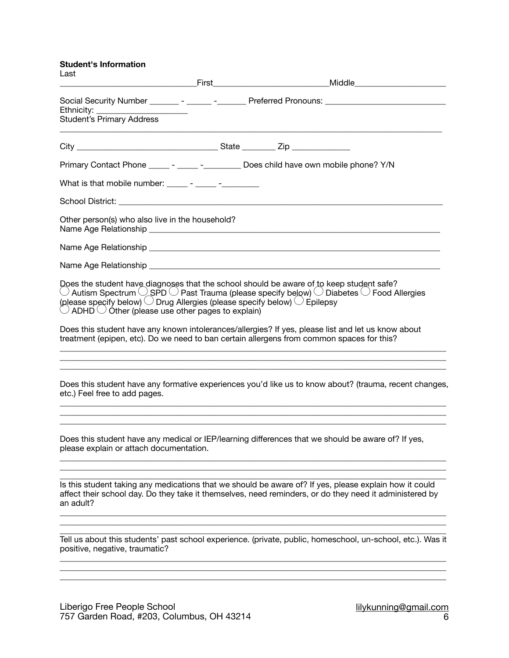**Student's Information** 

| Last                                                                                                                                                                |                                                                                                                                                                                                                                                                                |  |
|---------------------------------------------------------------------------------------------------------------------------------------------------------------------|--------------------------------------------------------------------------------------------------------------------------------------------------------------------------------------------------------------------------------------------------------------------------------|--|
| Ethnicity:                                                                                                                                                          | Social Security Number ________ - ______ -________ Preferred Pronouns: ____________________________                                                                                                                                                                            |  |
|                                                                                                                                                                     |                                                                                                                                                                                                                                                                                |  |
|                                                                                                                                                                     | Primary Contact Phone _____ - _____ - _________ Does child have own mobile phone? Y/N                                                                                                                                                                                          |  |
|                                                                                                                                                                     |                                                                                                                                                                                                                                                                                |  |
|                                                                                                                                                                     |                                                                                                                                                                                                                                                                                |  |
| Other person(s) who also live in the household?                                                                                                                     |                                                                                                                                                                                                                                                                                |  |
|                                                                                                                                                                     |                                                                                                                                                                                                                                                                                |  |
|                                                                                                                                                                     |                                                                                                                                                                                                                                                                                |  |
| (please specify below) $\bigcirc$ Drug Allergies (please specify below) $\bigcirc$ Epilepsy<br>$\bigcirc$ ADHD $\bigcirc$ Other (please use other pages to explain) | Does the student have diagnoses that the school should be aware of to keep student safe?<br>$\circlearrowright$ Autism Spectrum $\circlearrowright$ SPD $\circlearrowright$ Past Trauma (please specify below) $\circlearrowright$ Diabetes $\circlearrowright$ Food Allergies |  |
|                                                                                                                                                                     | Does this student have any known intolerances/allergies? If yes, please list and let us know about<br>treatment (epipen, etc). Do we need to ban certain allergens from common spaces for this?                                                                                |  |
| etc.) Feel free to add pages.                                                                                                                                       | Does this student have any formative experiences you'd like us to know about? (trauma, recent changes,                                                                                                                                                                         |  |
| please explain or attach documentation.                                                                                                                             | Does this student have any medical or IEP/learning differences that we should be aware of? If yes,                                                                                                                                                                             |  |
| an adult?                                                                                                                                                           | Is this student taking any medications that we should be aware of? If yes, please explain how it could<br>affect their school day. Do they take it themselves, need reminders, or do they need it administered by                                                              |  |
| positive, negative, traumatic?                                                                                                                                      | Tell us about this students' past school experience. (private, public, homeschool, un-school, etc.). Was it                                                                                                                                                                    |  |
|                                                                                                                                                                     |                                                                                                                                                                                                                                                                                |  |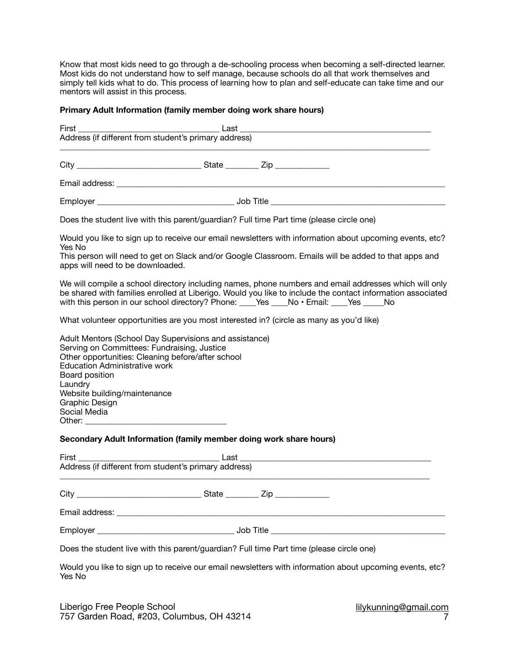Know that most kids need to go through a de-schooling process when becoming a self-directed learner. Most kids do not understand how to self manage, because schools do all that work themselves and simply tell kids what to do. This process of learning how to plan and self-educate can take time and our mentors will assist in this process.

## **Primary Adult Information (family member doing work share hours)**

| <b>First</b>                                                                                                                                                                                                                            | Address (if different from student's primary address)  |                                                                                                                                                                                                                                                                                                                 |
|-----------------------------------------------------------------------------------------------------------------------------------------------------------------------------------------------------------------------------------------|--------------------------------------------------------|-----------------------------------------------------------------------------------------------------------------------------------------------------------------------------------------------------------------------------------------------------------------------------------------------------------------|
|                                                                                                                                                                                                                                         |                                                        |                                                                                                                                                                                                                                                                                                                 |
|                                                                                                                                                                                                                                         |                                                        |                                                                                                                                                                                                                                                                                                                 |
|                                                                                                                                                                                                                                         |                                                        |                                                                                                                                                                                                                                                                                                                 |
|                                                                                                                                                                                                                                         |                                                        | Does the student live with this parent/guardian? Full time Part time (please circle one)                                                                                                                                                                                                                        |
| Yes No<br>apps will need to be downloaded.                                                                                                                                                                                              |                                                        | Would you like to sign up to receive our email newsletters with information about upcoming events, etc?<br>This person will need to get on Slack and/or Google Classroom. Emails will be added to that apps and                                                                                                 |
|                                                                                                                                                                                                                                         |                                                        | We will compile a school directory including names, phone numbers and email addresses which will only<br>be shared with families enrolled at Liberigo. Would you like to include the contact information associated<br>with this person in our school directory? Phone: ____Yes ____No · Email: ____Yes _____No |
|                                                                                                                                                                                                                                         |                                                        | What volunteer opportunities are you most interested in? (circle as many as you'd like)                                                                                                                                                                                                                         |
| Serving on Committees: Fundraising, Justice<br>Other opportunities: Cleaning before/after school<br><b>Education Administrative work</b><br>Board position<br>Laundry<br>Website building/maintenance<br>Graphic Design<br>Social Media | Adult Mentors (School Day Supervisions and assistance) |                                                                                                                                                                                                                                                                                                                 |
| Secondary Adult Information (family member doing work share hours)                                                                                                                                                                      |                                                        |                                                                                                                                                                                                                                                                                                                 |
|                                                                                                                                                                                                                                         |                                                        |                                                                                                                                                                                                                                                                                                                 |
|                                                                                                                                                                                                                                         |                                                        |                                                                                                                                                                                                                                                                                                                 |
|                                                                                                                                                                                                                                         |                                                        |                                                                                                                                                                                                                                                                                                                 |
|                                                                                                                                                                                                                                         |                                                        |                                                                                                                                                                                                                                                                                                                 |
|                                                                                                                                                                                                                                         |                                                        | Does the student live with this parent/guardian? Full time Part time (please circle one)                                                                                                                                                                                                                        |
| Yes No                                                                                                                                                                                                                                  |                                                        | Would you like to sign up to receive our email newsletters with information about upcoming events, etc?                                                                                                                                                                                                         |

Liberigo Free People School 757 Garden Road, #203, Columbus, OH 43214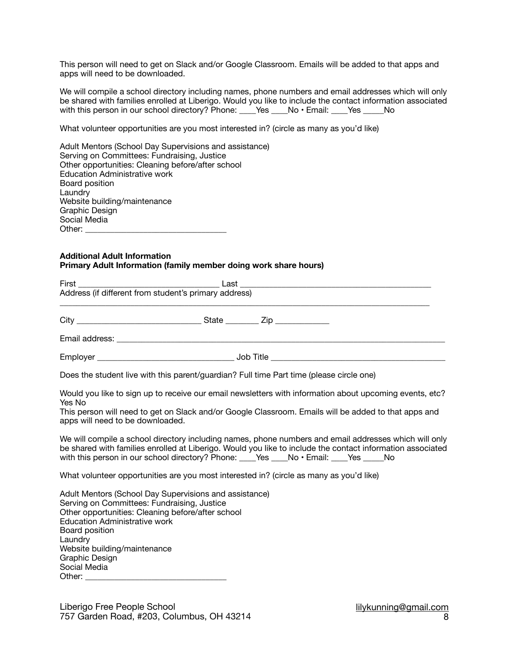This person will need to get on Slack and/or Google Classroom. Emails will be added to that apps and apps will need to be downloaded.

We will compile a school directory including names, phone numbers and email addresses which will only be shared with families enrolled at Liberigo. Would you like to include the contact information associated with this person in our school directory? Phone: \_\_\_\_Yes \_\_\_\_No • Email: \_\_\_\_Yes \_\_\_\_\_No

What volunteer opportunities are you most interested in? (circle as many as you'd like)

| Adult Mentors (School Day Supervisions and assistance) |
|--------------------------------------------------------|
| Serving on Committees: Fundraising, Justice            |
| Other opportunities: Cleaning before/after school      |
| <b>Education Administrative work</b>                   |
| Board position                                         |
| Laundry                                                |
| Website building/maintenance                           |
| Graphic Design                                         |
| Social Media                                           |
| Other:                                                 |

## **Additional Adult Information Primary Adult Information (family member doing work share hours)**

| First<br>Last                                                                                                                                                                                                                                                                                     |                                                                                                                                                                                                                     |
|---------------------------------------------------------------------------------------------------------------------------------------------------------------------------------------------------------------------------------------------------------------------------------------------------|---------------------------------------------------------------------------------------------------------------------------------------------------------------------------------------------------------------------|
| Address (if different from student's primary address)                                                                                                                                                                                                                                             |                                                                                                                                                                                                                     |
|                                                                                                                                                                                                                                                                                                   |                                                                                                                                                                                                                     |
|                                                                                                                                                                                                                                                                                                   |                                                                                                                                                                                                                     |
|                                                                                                                                                                                                                                                                                                   |                                                                                                                                                                                                                     |
| Does the student live with this parent/guardian? Full time Part time (please circle one)                                                                                                                                                                                                          |                                                                                                                                                                                                                     |
| Yes No<br>apps will need to be downloaded.                                                                                                                                                                                                                                                        | Would you like to sign up to receive our email newsletters with information about upcoming events, etc?<br>This person will need to get on Slack and/or Google Classroom. Emails will be added to that apps and     |
| with this person in our school directory? Phone: ____Yes ____No · Email: ____Yes _____No                                                                                                                                                                                                          | We will compile a school directory including names, phone numbers and email addresses which will only<br>be shared with families enrolled at Liberigo. Would you like to include the contact information associated |
| What volunteer opportunities are you most interested in? (circle as many as you'd like)                                                                                                                                                                                                           |                                                                                                                                                                                                                     |
| Adult Mentors (School Day Supervisions and assistance)<br>Serving on Committees: Fundraising, Justice<br>Other opportunities: Cleaning before/after school<br><b>Education Administrative work</b><br>Board position<br>Laundry<br>Website building/maintenance<br>Graphic Design<br>Social Media |                                                                                                                                                                                                                     |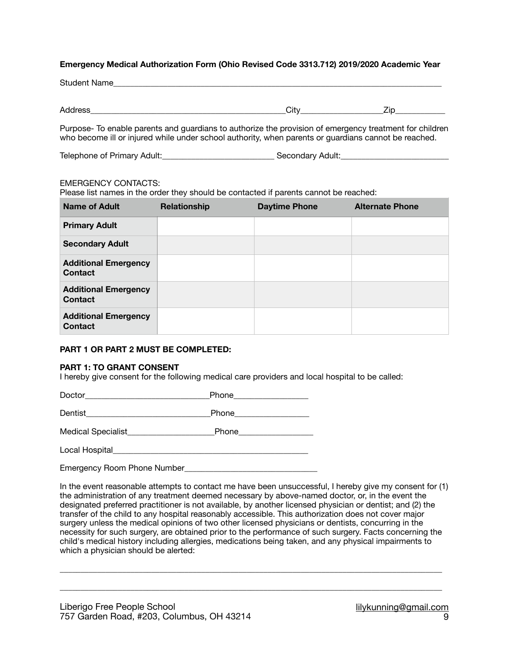## **Emergency Medical Authorization Form (Ohio Revised Code 3313.712) 2019/2020 Academic Year**

Address\_\_\_\_\_\_\_\_\_\_\_\_\_\_\_\_\_\_\_\_\_\_\_\_\_\_\_\_\_\_\_\_\_\_\_\_\_\_\_\_\_\_\_\_\_\_\_City\_\_\_\_\_\_\_\_\_\_\_\_\_\_\_\_\_\_\_\_Zip\_\_\_\_\_\_\_\_\_\_\_\_

Purpose- To enable parents and guardians to authorize the provision of emergency treatment for children who become ill or injured while under school authority, when parents or guardians cannot be reached.

Telephone of Primary Adult:\_\_\_\_\_\_\_\_\_\_\_\_\_\_\_\_\_\_\_\_\_\_\_\_\_\_\_ Secondary Adult:\_\_\_\_\_\_\_\_\_\_\_\_\_\_\_\_\_\_\_\_\_\_\_\_\_\_

## EMERGENCY CONTACTS:

Please list names in the order they should be contacted if parents cannot be reached:

| <b>Name of Adult</b>                          | Relationship | <b>Daytime Phone</b> | <b>Alternate Phone</b> |
|-----------------------------------------------|--------------|----------------------|------------------------|
| <b>Primary Adult</b>                          |              |                      |                        |
| <b>Secondary Adult</b>                        |              |                      |                        |
| <b>Additional Emergency</b><br>Contact        |              |                      |                        |
| <b>Additional Emergency</b><br><b>Contact</b> |              |                      |                        |
| <b>Additional Emergency</b><br><b>Contact</b> |              |                      |                        |

## **PART 1 OR PART 2 MUST BE COMPLETED:**

## **PART 1: TO GRANT CONSENT**

I hereby give consent for the following medical care providers and local hospital to be called:

Doctor\_\_\_\_\_\_\_\_\_\_\_\_\_\_\_\_\_\_\_\_\_\_\_\_\_\_\_\_\_\_Phone\_\_\_\_\_\_\_\_\_\_\_\_\_\_\_\_\_\_

Dentist **Example 20** Phone

Medical Specialist **Medical** Specialist **Redical** Phone

Local Hospital\_\_\_\_\_\_\_\_\_\_\_\_\_\_\_\_\_\_\_\_\_\_\_\_\_\_\_\_\_\_\_\_\_\_\_\_\_\_\_\_\_\_\_\_\_\_\_

Emergency Room Phone Number

In the event reasonable attempts to contact me have been unsuccessful, I hereby give my consent for (1) the administration of any treatment deemed necessary by above-named doctor, or, in the event the designated preferred practitioner is not available, by another licensed physician or dentist; and (2) the transfer of the child to any hospital reasonably accessible. This authorization does not cover major surgery unless the medical opinions of two other licensed physicians or dentists, concurring in the necessity for such surgery, are obtained prior to the performance of such surgery. Facts concerning the child's medical history including allergies, medications being taken, and any physical impairments to which a physician should be alerted:

\_\_\_\_\_\_\_\_\_\_\_\_\_\_\_\_\_\_\_\_\_\_\_\_\_\_\_\_\_\_\_\_\_\_\_\_\_\_\_\_\_\_\_\_\_\_\_\_\_\_\_\_\_\_\_\_\_\_\_\_\_\_\_\_\_\_\_\_\_\_\_\_\_\_\_\_\_\_\_\_\_\_\_\_\_\_\_\_\_\_\_\_

\_\_\_\_\_\_\_\_\_\_\_\_\_\_\_\_\_\_\_\_\_\_\_\_\_\_\_\_\_\_\_\_\_\_\_\_\_\_\_\_\_\_\_\_\_\_\_\_\_\_\_\_\_\_\_\_\_\_\_\_\_\_\_\_\_\_\_\_\_\_\_\_\_\_\_\_\_\_\_\_\_\_\_\_\_\_\_\_\_\_\_\_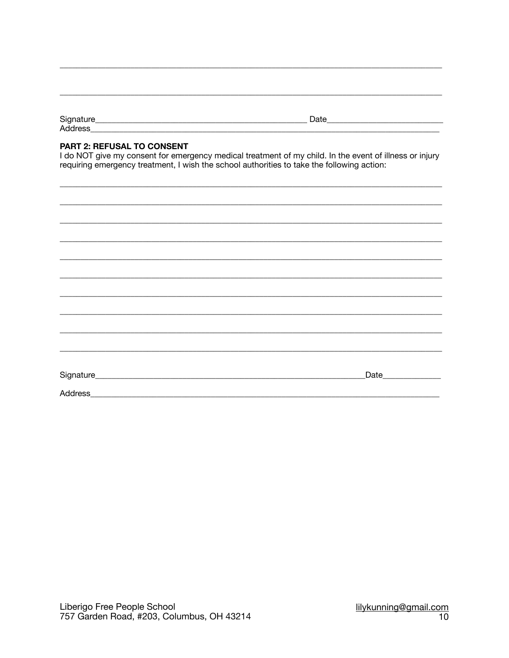| ~<br>ັ       | _______ |
|--------------|---------|
| л<br>1991 VV |         |

# PART 2: REFUSAL TO CONSENT

I do NOT give my consent for emergency medical treatment of my child. In the event of illness or injury requiring emergency treatment, I wish the school authorities to take the following action:

|         | Date |
|---------|------|
|         |      |
|         |      |
| Address |      |
|         |      |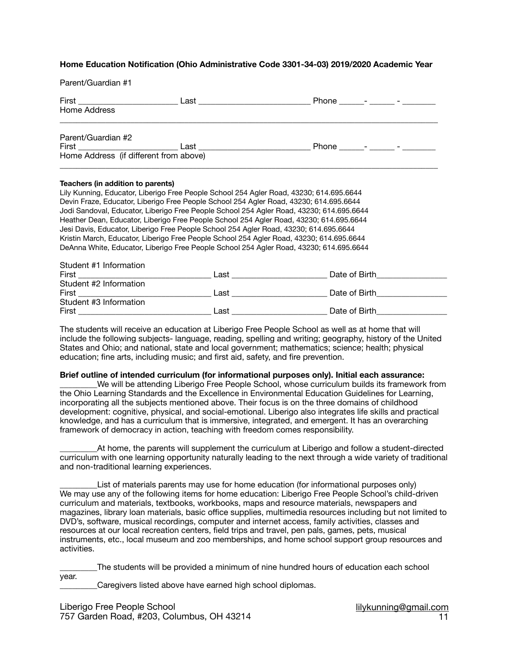## **Home Education Notification (Ohio Administrative Code 3301-34-03) 2019/2020 Academic Year**

| Parent/Guardian #1                |                                                                                                                                                                                    |  |
|-----------------------------------|------------------------------------------------------------------------------------------------------------------------------------------------------------------------------------|--|
| Home Address                      |                                                                                                                                                                                    |  |
| Parent/Guardian #2                |                                                                                                                                                                                    |  |
|                                   |                                                                                                                                                                                    |  |
| Teachers (in addition to parents) |                                                                                                                                                                                    |  |
|                                   | Lily Kunning, Educator, Liberigo Free People School 254 Agler Road, 43230; 614.695.6644                                                                                            |  |
|                                   | Devin Fraze, Educator, Liberigo Free People School 254 Agler Road, 43230; 614.695.6644<br>Jodi Sandoval, Educator, Liberigo Free People School 254 Agler Road, 43230; 614.695.6644 |  |
|                                   | Heather Dean, Educator, Liberigo Free People School 254 Agler Road, 43230; 614.695.6644                                                                                            |  |
|                                   | Jesi Davis, Educator, Liberigo Free People School 254 Agler Road, 43230; 614.695.6644                                                                                              |  |
|                                   | Kristin March, Educator, Liberigo Free People School 254 Agler Road, 43230; 614.695.6644                                                                                           |  |
|                                   | DeAnna White, Educator, Liberigo Free People School 254 Agler Road, 43230; 614.695.6644                                                                                            |  |
| Student #1 Information            |                                                                                                                                                                                    |  |
|                                   |                                                                                                                                                                                    |  |
| Student #2 Information            |                                                                                                                                                                                    |  |
|                                   |                                                                                                                                                                                    |  |
| Student #3 Information            |                                                                                                                                                                                    |  |

The students will receive an education at Liberigo Free People School as well as at home that will include the following subjects- language, reading, spelling and writing; geography, history of the United States and Ohio; and national, state and local government; mathematics; science; health; physical education; fine arts, including music; and first aid, safety, and fire prevention.

#### **Brief outline of intended curriculum (for informational purposes only). Initial each assurance:**

First **Example 2 Last Last C Last C Date of Birth** 

We will be attending Liberigo Free People School, whose curriculum builds its framework from the Ohio Learning Standards and the Excellence in Environmental Education Guidelines for Learning, incorporating all the subjects mentioned above. Their focus is on the three domains of childhood development: cognitive, physical, and social-emotional. Liberigo also integrates life skills and practical knowledge, and has a curriculum that is immersive, integrated, and emergent. It has an overarching framework of democracy in action, teaching with freedom comes responsibility.

\_\_\_\_\_\_\_\_\_At home, the parents will supplement the curriculum at Liberigo and follow a student-directed curriculum with one learning opportunity naturally leading to the next through a wide variety of traditional and non-traditional learning experiences.

List of materials parents may use for home education (for informational purposes only) We may use any of the following items for home education: Liberigo Free People School's child-driven curriculum and materials, textbooks, workbooks, maps and resource materials, newspapers and magazines, library loan materials, basic office supplies, multimedia resources including but not limited to DVD's, software, musical recordings, computer and internet access, family activities, classes and resources at our local recreation centers, field trips and travel, pen pals, games, pets, musical instruments, etc., local museum and zoo memberships, and home school support group resources and activities.

\_\_\_\_\_\_\_\_\_The students will be provided a minimum of nine hundred hours of education each school year.

Caregivers listed above have earned high school diplomas.